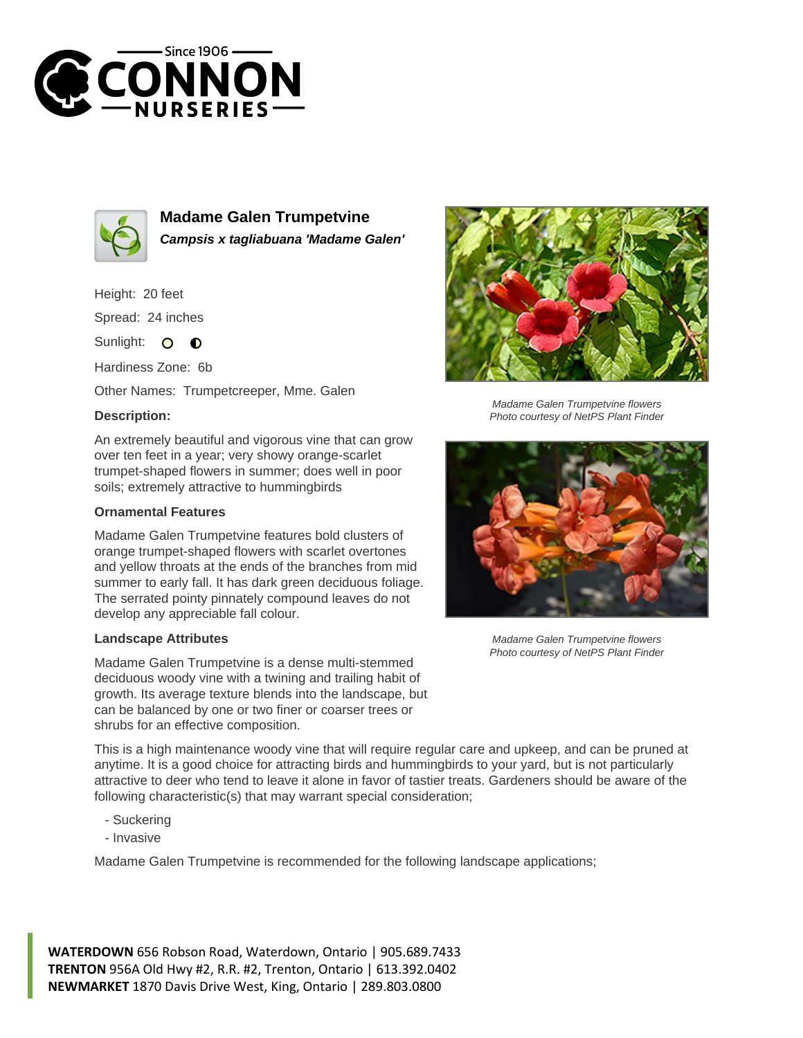



**Madame Galen Trumpetvine Campsis x tagliabuana 'Madame Galen'**

Height: 20 feet Spread: 24 inches

Sunlight: O  $\bullet$ 

Hardiness Zone: 6b

Other Names: Trumpetcreeper, Mme. Galen

## **Description:**

An extremely beautiful and vigorous vine that can grow over ten feet in a year; very showy orange-scarlet trumpet-shaped flowers in summer; does well in poor soils; extremely attractive to hummingbirds

## **Ornamental Features**

Madame Galen Trumpetvine features bold clusters of orange trumpet-shaped flowers with scarlet overtones and yellow throats at the ends of the branches from mid summer to early fall. It has dark green deciduous foliage. The serrated pointy pinnately compound leaves do not develop any appreciable fall colour.

## **Landscape Attributes**

Madame Galen Trumpetvine is a dense multi-stemmed deciduous woody vine with a twining and trailing habit of growth. Its average texture blends into the landscape, but can be balanced by one or two finer or coarser trees or shrubs for an effective composition.



Madame Galen Trumpetvine flowers Photo courtesy of NetPS Plant Finder



Madame Galen Trumpetvine flowers Photo courtesy of NetPS Plant Finder

This is a high maintenance woody vine that will require regular care and upkeep, and can be pruned at anytime. It is a good choice for attracting birds and hummingbirds to your yard, but is not particularly attractive to deer who tend to leave it alone in favor of tastier treats. Gardeners should be aware of the following characteristic(s) that may warrant special consideration;

- Suckering
- Invasive

Madame Galen Trumpetvine is recommended for the following landscape applications;

**WATERDOWN** 656 Robson Road, Waterdown, Ontario | 905.689.7433 **TRENTON** 956A Old Hwy #2, R.R. #2, Trenton, Ontario | 613.392.0402 **NEWMARKET** 1870 Davis Drive West, King, Ontario | 289.803.0800